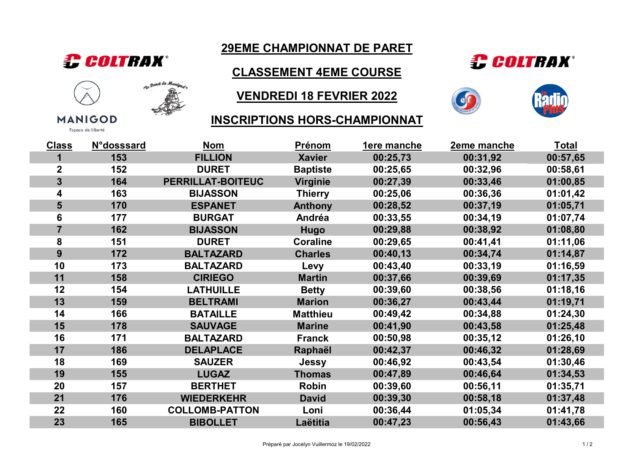

**MANIGOD** Espace de Liberté

112 Fand de Maniguela ଛ

# 29EME CHAMPIONNAT DE PARET

CLASSEMENT 4EME COURSE

## VENDREDI 18 FEVRIER 2022

#### INSCRIPTIONS HORS-CHAMPIONNAT





| <b>Class</b>            | <b>N°dosssard</b> | <b>Nom</b>            | <b>Prénom</b>   | <b>1ere manche</b> | <b>2eme manche</b> | <u>Total</u> |
|-------------------------|-------------------|-----------------------|-----------------|--------------------|--------------------|--------------|
|                         | 153               | <b>FILLION</b>        | <b>Xavier</b>   | 00:25,73           | 00:31,92           | 00:57,65     |
| $\overline{\mathbf{2}}$ | 152               | <b>DURET</b>          | <b>Baptiste</b> | 00:25,65           | 00:32,96           | 00:58,61     |
| 3                       | 164               | PERRILLAT-BOITEUC     | <b>Virginie</b> | 00:27,39           | 00:33,46           | 01:00,85     |
| 4                       | 163               | <b>BIJASSON</b>       | <b>Thierry</b>  | 00:25,06           | 00:36,36           | 01:01,42     |
| 5                       | 170               | <b>ESPANET</b>        | <b>Anthony</b>  | 00:28,52           | 00:37,19           | 01:05,71     |
| 6                       | 177               | <b>BURGAT</b>         | Andréa          | 00:33,55           | 00:34,19           | 01:07,74     |
| $\overline{7}$          | 162               | <b>BIJASSON</b>       | <b>Hugo</b>     | 00:29,88           | 00:38,92           | 01:08,80     |
| 8                       | 151               | <b>DURET</b>          | <b>Coraline</b> | 00:29,65           | 00:41,41           | 01:11,06     |
| 9                       | 172               | <b>BALTAZARD</b>      | <b>Charles</b>  | 00:40,13           | 00:34,74           | 01:14,87     |
| 10                      | 173               | <b>BALTAZARD</b>      | Levy            | 00:43,40           | 00:33,19           | 01:16,59     |
| 11                      | 158               | <b>CIRIEGO</b>        | <b>Martin</b>   | 00:37,66           | 00:39,69           | 01:17,35     |
| 12                      | 154               | <b>LATHUILLE</b>      | <b>Betty</b>    | 00:39,60           | 00:38,56           | 01:18,16     |
| 13                      | 159               | <b>BELTRAMI</b>       | <b>Marion</b>   | 00:36,27           | 00:43,44           | 01:19,71     |
| 14                      | 166               | <b>BATAILLE</b>       | <b>Matthieu</b> | 00:49,42           | 00:34,88           | 01:24,30     |
| 15                      | 178               | <b>SAUVAGE</b>        | <b>Marine</b>   | 00:41,90           | 00:43,58           | 01:25,48     |
| 16                      | 171               | <b>BALTAZARD</b>      | <b>Franck</b>   | 00:50,98           | 00:35,12           | 01:26,10     |
| 17                      | 186               | <b>DELAPLACE</b>      | Raphaël         | 00:42,37           | 00:46,32           | 01:28,69     |
| 18                      | 169               | <b>SAUZER</b>         | <b>Jessy</b>    | 00:46,92           | 00:43,54           | 01:30,46     |
| 19                      | 155               | <b>LUGAZ</b>          | <b>Thomas</b>   | 00:47,89           | 00:46,64           | 01:34,53     |
| 20                      | 157               | <b>BERTHET</b>        | <b>Robin</b>    | 00:39,60           | 00:56,11           | 01:35,71     |
| 21                      | 176               | <b>WIEDERKEHR</b>     | <b>David</b>    | 00:39,30           | 00:58,18           | 01:37,48     |
| 22                      | 160               | <b>COLLOMB-PATTON</b> | Loni            | 00:36,44           | 01:05,34           | 01:41,78     |
| 23                      | 165               | <b>BIBOLLET</b>       | Laëtitia        | 00:47,23           | 00:56,43           | 01:43,66     |